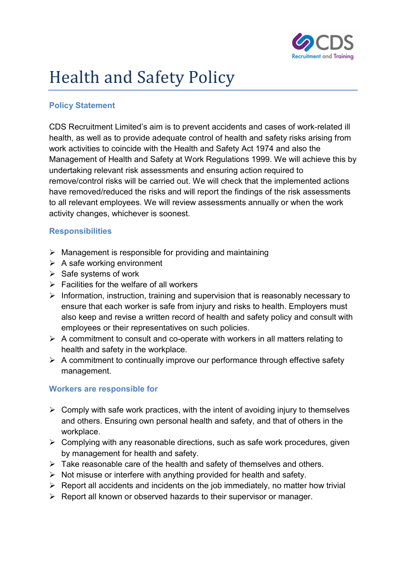

# Health and Safety Policy

## Policy Statement

CDS Recruitment Limited's aim is to prevent accidents and cases of work-related ill health, as well as to provide adequate control of health and safety risks arising from work activities to coincide with the Health and Safety Act 1974 and also the Management of Health and Safety at Work Regulations 1999. We will achieve this by undertaking relevant risk assessments and ensuring action required to remove/control risks will be carried out. We will check that the implemented actions have removed/reduced the risks and will report the findings of the risk assessments to all relevant employees. We will review assessments annually or when the work activity changes, whichever is soonest.

#### **Responsibilities**

- $\triangleright$  Management is responsible for providing and maintaining
- $\triangleright$  A safe working environment
- $\triangleright$  Safe systems of work
- $\triangleright$  Facilities for the welfare of all workers
- $\triangleright$  Information, instruction, training and supervision that is reasonably necessary to ensure that each worker is safe from injury and risks to health. Employers must also keep and revise a written record of health and safety policy and consult with employees or their representatives on such policies.
- $\triangleright$  A commitment to consult and co-operate with workers in all matters relating to health and safety in the workplace.
- $\triangleright$  A commitment to continually improve our performance through effective safety management.

### Workers are responsible for

- $\triangleright$  Comply with safe work practices, with the intent of avoiding injury to themselves and others. Ensuring own personal health and safety, and that of others in the workplace.
- $\triangleright$  Complying with any reasonable directions, such as safe work procedures, given by management for health and safety.
- $\triangleright$  Take reasonable care of the health and safety of themselves and others.
- $\triangleright$  Not misuse or interfere with anything provided for health and safety.
- $\triangleright$  Report all accidents and incidents on the job immediately, no matter how trivial
- $\triangleright$  Report all known or observed hazards to their supervisor or manager.